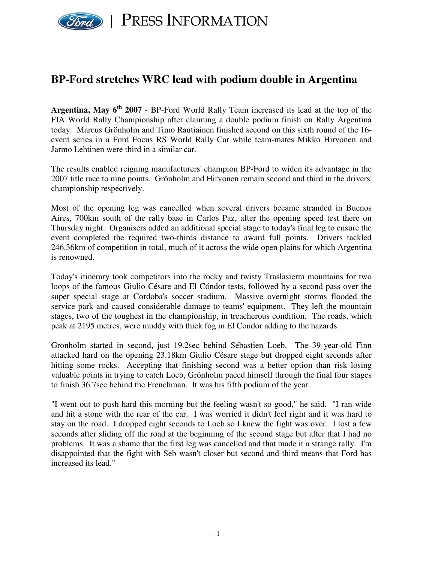

## **BP-Ford stretches WRC lead with podium double in Argentina**

**Argentina, May 6 th 2007** - BP-Ford World Rally Team increased its lead at the top of the FIA World Rally Championship after claiming a double podium finish on Rally Argentina today. Marcus Grönholm and Timo Rautiainen finished second on this sixth round of the 16 event series in a Ford Focus RS World Rally Car while team-mates Mikko Hirvonen and Jarmo Lehtinen were third in a similar car.

The results enabled reigning manufacturers' champion BP-Ford to widen its advantage in the 2007 title race to nine points. Grönholm and Hirvonen remain second and third in the drivers' championship respectively.

Most of the opening leg was cancelled when several drivers became stranded in Buenos Aires, 700km south of the rally base in Carlos Paz, after the opening speed test there on Thursday night. Organisers added an additional special stage to today's final leg to ensure the event completed the required two-thirds distance to award full points. Drivers tackled 246.36km of competition in total, much of it across the wide open plains for which Argentina is renowned.

Today's itinerary took competitors into the rocky and twisty Traslasierra mountains for two loops of the famous Giulio Césare and El Cóndor tests, followed by a second pass over the super special stage at Cordoba's soccer stadium. Massive overnight storms flooded the service park and caused considerable damage to teams' equipment. They left the mountain stages, two of the toughest in the championship, in treacherous condition. The roads, which peak at 2195 metres, were muddy with thick fog in El Condor adding to the hazards.

Grönholm started in second, just 19.2sec behind Sébastien Loeb. The 39-year-old Finn attacked hard on the opening 23.18km Giulio Césare stage but dropped eight seconds after hitting some rocks. Accepting that finishing second was a better option than risk losing valuable points in trying to catch Loeb, Grönholm paced himself through the final four stages to finish 36.7sec behind the Frenchman. It was his fifth podium of the year.

"I went out to push hard this morning but the feeling wasn't so good," he said. "I ran wide and hit a stone with the rear of the car. I was worried it didn't feel right and it was hard to stay on the road. I dropped eight seconds to Loeb so I knew the fight was over. I lost a few seconds after sliding off the road at the beginning of the second stage but after that I had no problems. It was a shame that the first leg was cancelled and that made it a strange rally. I'm disappointed that the fight with Seb wasn't closer but second and third means that Ford has increased its lead."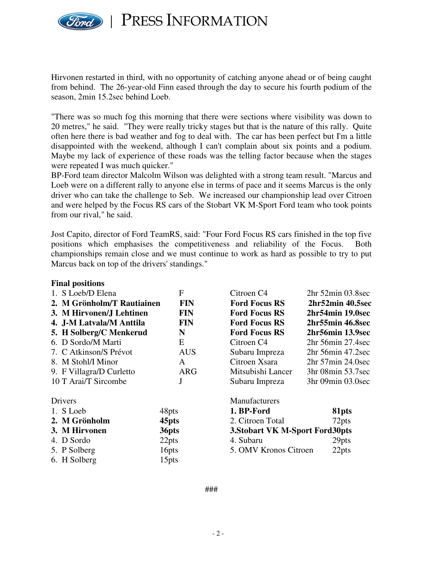

PRESS INFORMATION

Hirvonen restarted in third, with no opportunity of catching anyone ahead or of being caught from behind. The 26-year-old Finn eased through the day to secure his fourth podium of the season, 2min 15.2sec behind Loeb.

"There was so much fog this morning that there were sections where visibility was down to 20 metres," he said. "They were really tricky stages but that is the nature of this rally. Quite often here there is bad weather and fog to deal with. The car has been perfect but I'm a little disappointed with the weekend, although I can't complain about six points and a podium. Maybe my lack of experience of these roads was the telling factor because when the stages were repeated I was much quicker."

BP-Ford team director Malcolm Wilson was delighted with a strong team result. "Marcus and Loeb were on a different rally to anyone else in terms of pace and it seems Marcus is the only driver who can take the challenge to Seb. We increased our championship lead over Citroen and were helped by the Focus RS cars of the Stobart VK M-Sport Ford team who took points from our rival," he said.

Jost Capito, director of Ford TeamRS, said: "Four Ford Focus RS cars finished in the top five positions which emphasises the competitiveness and reliability of the Focus. Both championships remain close and we must continue to work as hard as possible to try to put Marcus back on top of the drivers' standings."

| <b>Final positions</b>                   |                   |                                 |                        |
|------------------------------------------|-------------------|---------------------------------|------------------------|
| 1. S Loeb/D Elena                        | F                 | Citroen C <sub>4</sub>          | $2hr$ 52 $min$ 03.8sec |
| 2. M Grönholm/T Rautiainen<br><b>FIN</b> |                   | <b>Ford Focus RS</b>            | 2hr52min 40.5sec       |
| 3. M Hirvonen/J Lehtinen                 | <b>FIN</b>        | <b>Ford Focus RS</b>            | 2hr54min 19.0sec       |
| 4. J-M Latvala/M Anttila                 | <b>FIN</b>        | <b>Ford Focus RS</b>            | 2hr55min 46.8sec       |
| 5. H Solberg/C Menkerud                  | N                 | <b>Ford Focus RS</b>            | 2hr56min 13.9sec       |
| 6. D Sordo/M Marti                       | E                 | Citroen C <sub>4</sub>          | $2hr$ 56 $min$ 27.4sec |
| 7. C Atkinson/S Prévot                   | <b>AUS</b>        | Subaru Impreza                  | $2hr$ 56 $min$ 47.2sec |
| 8. M Stohl/I Minor                       | A                 | Citroen Xsara                   | $2hr$ 57 $min$ 24.0sec |
| 9. F Villagra/D Curletto                 | <b>ARG</b>        | Mitsubishi Lancer               | 3hr 08min 53.7sec      |
| 10 T Arai/T Sircombe                     | J                 | Subaru Impreza                  | 3hr 09min 03.0sec      |
| Drivers                                  |                   | Manufacturers                   |                        |
| 1. S Loeb                                | 48pts             | 1. BP-Ford                      | 81pts                  |
| 2. M Grönholm                            | 45 <sub>pts</sub> | 2. Citroen Total                | 72pts                  |
| 3. M Hirvonen                            | 36pts             | 3. Stobart VK M-Sport Ford30pts |                        |
| 4. D Sordo                               | 22pts             | 4. Subaru                       | 29pts                  |
| 5. P Solberg                             | 16pts             | 5. OMV Kronos Citroen<br>22pts  |                        |
| 6. H Solberg                             | 15pts             |                                 |                        |

- 2 -